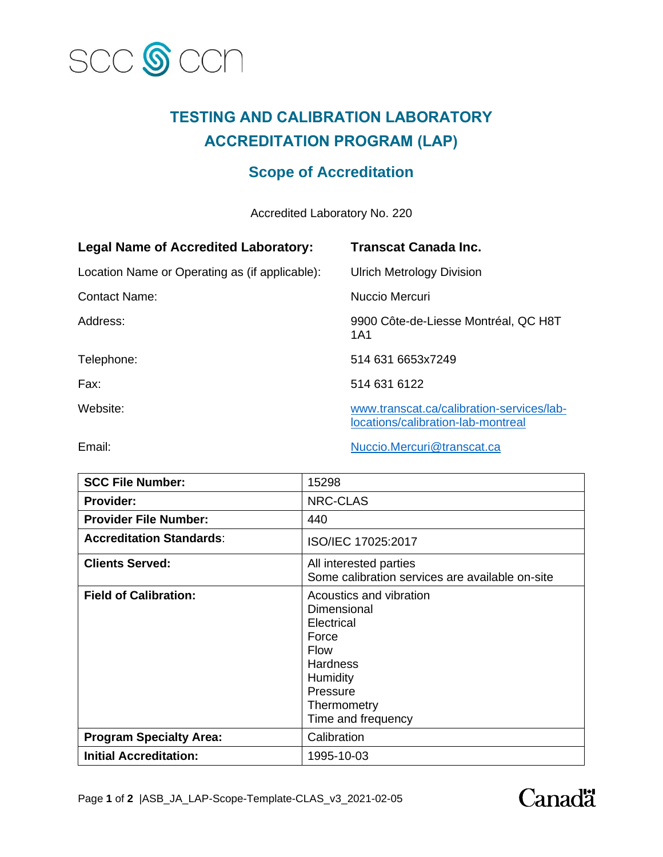

## **TESTING AND CALIBRATION LABORATORY ACCREDITATION PROGRAM (LAP)**

## **Scope of Accreditation**

Accredited Laboratory No. 220

| <b>Legal Name of Accredited Laboratory:</b>    | <b>Transcat Canada Inc.</b>                                                     |
|------------------------------------------------|---------------------------------------------------------------------------------|
| Location Name or Operating as (if applicable): | <b>Ulrich Metrology Division</b>                                                |
| <b>Contact Name:</b>                           | Nuccio Mercuri                                                                  |
| Address:                                       | 9900 Côte-de-Liesse Montréal, QC H8T<br>1A1                                     |
| Telephone:                                     | 514 631 6653x7249                                                               |
| Fax:                                           | 514 631 6122                                                                    |
| Website:                                       | www.transcat.ca/calibration-services/lab-<br>locations/calibration-lab-montreal |

Email: Email: Email: Email: Email: Email: Email: Email: Email: Email: Email: Email: Email: Email: Email: Email: Email: Email: Email: Email: Email: Email: Email: Email: Email: Email: Email: Email: Email: Email: Email: Email

| <b>SCC File Number:</b>         | 15298                                                                                                                                                        |
|---------------------------------|--------------------------------------------------------------------------------------------------------------------------------------------------------------|
| <b>Provider:</b>                | NRC-CLAS                                                                                                                                                     |
| <b>Provider File Number:</b>    | 440                                                                                                                                                          |
| <b>Accreditation Standards:</b> | ISO/IEC 17025:2017                                                                                                                                           |
| <b>Clients Served:</b>          | All interested parties<br>Some calibration services are available on-site                                                                                    |
| <b>Field of Calibration:</b>    | Acoustics and vibration<br>Dimensional<br>Electrical<br>Force<br><b>Flow</b><br><b>Hardness</b><br>Humidity<br>Pressure<br>Thermometry<br>Time and frequency |
| <b>Program Specialty Area:</b>  | Calibration                                                                                                                                                  |
| <b>Initial Accreditation:</b>   | 1995-10-03                                                                                                                                                   |